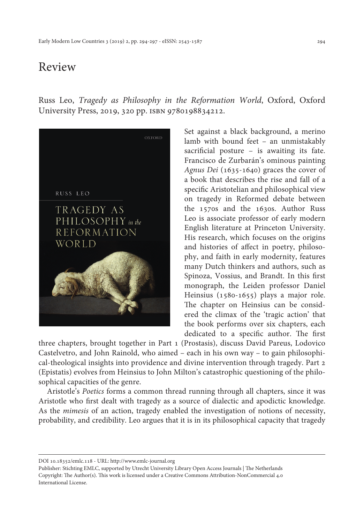## Review

Russ Leo, *Tragedy as Philosophy in the Reformation World*, Oxford, Oxford University Press, 2019, 320 pp. isbn 9780198834212.



Set against a black background, a merino lamb with bound feet – an unmistakably sacrificial posture – is awaiting its fate. Francisco de Zurbarán's ominous painting *Agnus Dei* (1635-1640) graces the cover of a book that describes the rise and fall of a specific Aristotelian and philosophical view on tragedy in Reformed debate between the 1570s and the 1630s. Author Russ Leo is associate professor of early modern English literature at Princeton University. His research, which focuses on the origins and histories of affect in poetry, philosophy, and faith in early modernity, features many Dutch thinkers and authors, such as Spinoza, Vossius, and Brandt. In this first monograph, the Leiden professor Daniel Heinsius (1580-1655) plays a major role. The chapter on Heinsius can be considered the climax of the 'tragic action' that the book performs over six chapters, each dedicated to a specific author. The first

three chapters, brought together in Part 1 (Prostasis), discuss David Pareus, Lodovico Castelvetro, and John Rainold, who aimed – each in his own way – to gain philosophical-theological insights into providence and divine intervention through tragedy. Part 2 (Epistatis) evolves from Heinsius to John Milton's catastrophic questioning of the philosophical capacities of the genre.

Aristotle's *Poetics* forms a common thread running through all chapters, since it was Aristotle who first dealt with tragedy as a source of dialectic and apodictic knowledge. As the *mimesis* of an action, tragedy enabled the investigation of notions of necessity, probability, and credibility. Leo argues that it is in its philosophical capacity that tragedy

DOI 10.18352/emlc.118 - URL: <http://www.emlc-journal.org>

Publisher: Stichting EMLC, supported by Utrecht University Library Open Access Journals | The Netherlands Copyright: The Author(s). This work is licensed under a Creative Commons Attribution-NonCommercial 4.0 International License.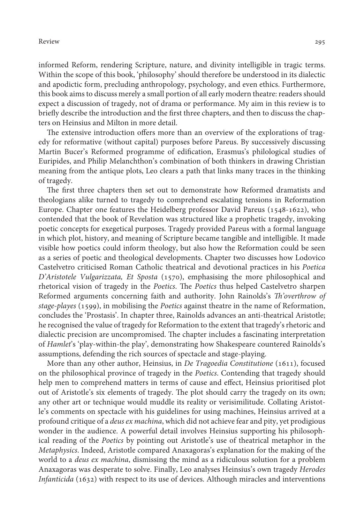informed Reform, rendering Scripture, nature, and divinity intelligible in tragic terms. Within the scope of this book, 'philosophy' should therefore be understood in its dialectic and apodictic form, precluding anthropology, psychology, and even ethics. Furthermore, this book aims to discuss merely a small portion of all early modern theatre: readers should expect a discussion of tragedy, not of drama or performance. My aim in this review is to briefly describe the introduction and the first three chapters, and then to discuss the chapters on Heinsius and Milton in more detail.

The extensive introduction offers more than an overview of the explorations of tragedy for reformative (without capital) purposes before Pareus. By successively discussing Martin Bucer's Reformed programme of edification, Erasmus's philological studies of Euripides, and Philip Melanchthon's combination of both thinkers in drawing Christian meaning from the antique plots, Leo clears a path that links many traces in the thinking of tragedy.

The first three chapters then set out to demonstrate how Reformed dramatists and theologians alike turned to tragedy to comprehend escalating tensions in Reformation Europe. Chapter one features the Heidelberg professor David Pareus (1548-1622), who contended that the book of Revelation was structured like a prophetic tragedy, invoking poetic concepts for exegetical purposes. Tragedy provided Pareus with a formal language in which plot, history, and meaning of Scripture became tangible and intelligible. It made visible how poetics could inform theology, but also how the Reformation could be seen as a series of poetic and theological developments. Chapter two discusses how Lodovico Castelvetro criticised Roman Catholic theatrical and devotional practices in his *Poetica D'Aristotele Vulgarizzata, Et Sposta* (1570), emphasising the more philosophical and rhetorical vision of tragedy in the *Poetics*. The *Poetics* thus helped Castelvetro sharpen Reformed arguments concerning faith and authority. John Rainolds's *Th'overthrow of stage-playes* (1599), in mobilising the *Poetics* against theatre in the name of Reformation, concludes the 'Prostasis'. In chapter three, Rainolds advances an anti-theatrical Aristotle; he recognised the value of tragedy for Reformation to the extent that tragedy's rhetoric and dialectic precision are uncompromised. The chapter includes a fascinating interpretation of *Hamlet*'s 'play-within-the play', demonstrating how Shakespeare countered Rainolds's assumptions, defending the rich sources of spectacle and stage-playing.

More than any other author, Heinsius, in *De Tragoedia Constitutione* (1611), focused on the philosophical province of tragedy in the *Poetics*. Contending that tragedy should help men to comprehend matters in terms of cause and effect, Heinsius prioritised plot out of Aristotle's six elements of tragedy. The plot should carry the tragedy on its own; any other art or technique would muddle its reality or verisimilitude. Collating Aristotle's comments on spectacle with his guidelines for using machines, Heinsius arrived at a profound critique of a *deus ex machina*, which did not achieve fear and pity, yet prodigious wonder in the audience. A powerful detail involves Heinsius supporting his philosophical reading of the *Poetics* by pointing out Aristotle's use of theatrical metaphor in the *Metaphysics*. Indeed, Aristotle compared Anaxagoras's explanation for the making of the world to a *deus ex machina*, dismissing the mind as a ridiculous solution for a problem Anaxagoras was desperate to solve. Finally, Leo analyses Heinsius's own tragedy *Herodes Infanticida* (1632) with respect to its use of devices. Although miracles and interventions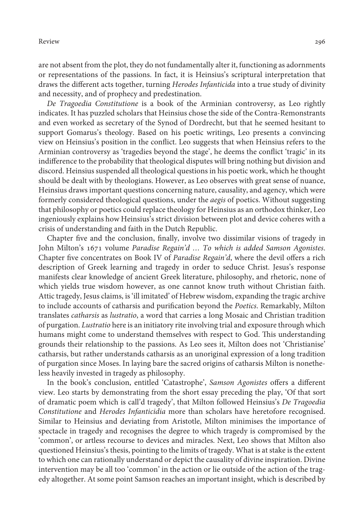## Review 296

are not absent from the plot, they do not fundamentally alter it, functioning as adornments or representations of the passions. In fact, it is Heinsius's scriptural interpretation that draws the different acts together, turning *Herodes Infanticida* into a true study of divinity and necessity, and of prophecy and predestination.

*De Tragoedia Constitutione* is a book of the Arminian controversy, as Leo rightly indicates. It has puzzled scholars that Heinsius chose the side of the Contra-Remonstrants and even worked as secretary of the Synod of Dordrecht, but that he seemed hesitant to support Gomarus's theology. Based on his poetic writings, Leo presents a convincing view on Heinsius's position in the conflict. Leo suggests that when Heinsius refers to the Arminian controversy as 'tragedies beyond the stage', he deems the conflict 'tragic' in its indifference to the probability that theological disputes will bring nothing but division and discord. Heinsius suspended all theological questions in his poetic work, which he thought should be dealt with by theologians. However, as Leo observes with great sense of nuance, Heinsius draws important questions concerning nature, causality, and agency, which were formerly considered theological questions, under the *aegis* of poetics. Without suggesting that philosophy or poetics could replace theology for Heinsius as an orthodox thinker, Leo ingeniously explains how Heinsius's strict division between plot and device coheres with a crisis of understanding and faith in the Dutch Republic.

Chapter five and the conclusion, finally, involve two dissimilar visions of tragedy in John Milton's 1671 volume *Paradise Regain'd … To which is added Samson Agonistes*. Chapter five concentrates on Book IV of *Paradise Regain'd*, where the devil offers a rich description of Greek learning and tragedy in order to seduce Christ. Jesus's response manifests clear knowledge of ancient Greek literature, philosophy, and rhetoric, none of which yields true wisdom however, as one cannot know truth without Christian faith. Attic tragedy, Jesus claims, is 'ill imitated' of Hebrew wisdom, expanding the tragic archive to include accounts of catharsis and purification beyond the *Poetics*. Remarkably, Milton translates *catharsis* as *lustratio*, a word that carries a long Mosaic and Christian tradition of purgation. *Lustratio* here is an initiatory rite involving trial and exposure through which humans might come to understand themselves with respect to God. This understanding grounds their relationship to the passions. As Leo sees it, Milton does not 'Christianise' catharsis, but rather understands catharsis as an unoriginal expression of a long tradition of purgation since Moses. In laying bare the sacred origins of catharsis Milton is nonetheless heavily invested in tragedy as philosophy.

In the book's conclusion, entitled 'Catastrophe', *Samson Agonistes* offers a different view. Leo starts by demonstrating from the short essay preceding the play, 'Of that sort of dramatic poem which is call'd tragedy', that Milton followed Heinsius's *De Tragoedia Constitutione* and *Herodes Infanticidia* more than scholars have heretofore recognised. Similar to Heinsius and deviating from Aristotle, Milton minimises the importance of spectacle in tragedy and recognises the degree to which tragedy is compromised by the 'common', or artless recourse to devices and miracles. Next, Leo shows that Milton also questioned Heinsius's thesis, pointing to the limits of tragedy. What is at stake is the extent to which one can rationally understand or depict the causality of divine inspiration. Divine intervention may be all too 'common' in the action or lie outside of the action of the tragedy altogether. At some point Samson reaches an important insight, which is described by